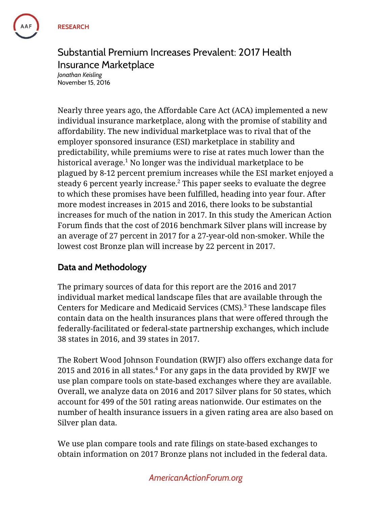# Substantial Premium Increases Prevalent: 2017 Health Insurance Marketplace

*Jonathan Keisling* November 15, 2016

Nearly three years ago, the Affordable Care Act (ACA) implemented a new individual insurance marketplace, along with the promise of stability and affordability. The new individual marketplace was to rival that of the employer sponsored insurance (ESI) marketplace in stability and predictability, while premiums were to rise at rates much lower than the historical average. $1$  No longer was the individual marketplace to be plagued by 8-12 percent premium increases while the ESI market enjoyed a steady 6 percent yearly increase.<sup>2</sup> This paper seeks to evaluate the degree to which these promises have been fulfilled, heading into year four. After more modest increases in 2015 and 2016, there looks to be substantial increases for much of the nation in 2017. In this study the American Action Forum finds that the cost of 2016 benchmark Silver plans will increase by an average of 27 percent in 2017 for a 27-year-old non-smoker. While the lowest cost Bronze plan will increase by 22 percent in 2017.

# **Data and Methodology**

The primary sources of data for this report are the 2016 and 2017 individual market medical landscape files that are available through the Centers for Medicare and Medicaid Services  $(CMS)^3$  These landscape files contain data on the health insurances plans that were offered through the federally-facilitated or federal-state partnership exchanges, which include 38 states in 2016, and 39 states in 2017.

The Robert Wood Johnson Foundation (RWJF) also offers exchange data for 2015 and 2016 in all states. $4$  For any gaps in the data provided by RWJF we use plan compare tools on state-based exchanges where they are available. Overall, we analyze data on 2016 and 2017 Silver plans for 50 states, which account for 499 of the 501 rating areas nationwide. Our estimates on the number of health insurance issuers in a given rating area are also based on Silver plan data.

We use plan compare tools and rate filings on state-based exchanges to obtain information on 2017 Bronze plans not included in the federal data.

## *AmericanActionForum.org*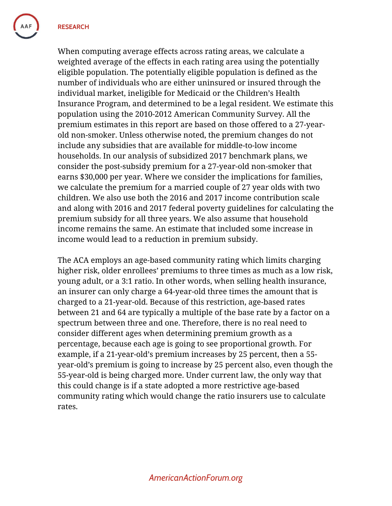**RESEARCH**

When computing average effects across rating areas, we calculate a weighted average of the effects in each rating area using the potentially eligible population. The potentially eligible population is defined as the number of individuals who are either uninsured or insured through the individual market, ineligible for Medicaid or the Children's Health Insurance Program, and determined to be a legal resident. We estimate this population using the 2010-2012 American Community Survey. All the premium estimates in this report are based on those offered to a 27-yearold non-smoker. Unless otherwise noted, the premium changes do not include any subsidies that are available for middle-to-low income households. In our analysis of subsidized 2017 benchmark plans, we consider the post-subsidy premium for a 27-year-old non-smoker that earns \$30,000 per year. Where we consider the implications for families, we calculate the premium for a married couple of 27 year olds with two children. We also use both the 2016 and 2017 income contribution scale and along with 2016 and 2017 federal poverty guidelines for calculating the premium subsidy for all three years. We also assume that household income remains the same. An estimate that included some increase in income would lead to a reduction in premium subsidy.

The ACA employs an age-based community rating which limits charging higher risk, older enrollees' premiums to three times as much as a low risk, young adult, or a 3:1 ratio. In other words, when selling health insurance, an insurer can only charge a 64-year-old three times the amount that is charged to a 21-year-old. Because of this restriction, age-based rates between 21 and 64 are typically a multiple of the base rate by a factor on a spectrum between three and one. Therefore, there is no real need to consider different ages when determining premium growth as a percentage, because each age is going to see proportional growth. For example, if a 21-year-old's premium increases by 25 percent, then a 55 year-old's premium is going to increase by 25 percent also, even though the 55-year-old is being charged more. Under current law, the only way that this could change is if a state adopted a more restrictive age-based community rating which would change the ratio insurers use to calculate rates.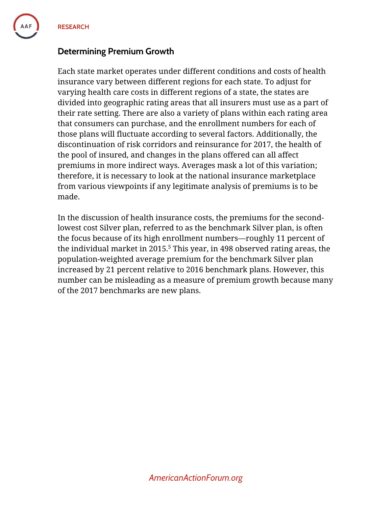**RESEARCH**

## **Determining Premium Growth**

Each state market operates under different conditions and costs of health insurance vary between different regions for each state. To adjust for varying health care costs in different regions of a state, the states are divided into geographic rating areas that all insurers must use as a part of their rate setting. There are also a variety of plans within each rating area that consumers can purchase, and the enrollment numbers for each of those plans will fluctuate according to several factors. Additionally, the discontinuation of risk corridors and reinsurance for 2017, the health of the pool of insured, and changes in the plans offered can all affect premiums in more indirect ways. Averages mask a lot of this variation; therefore, it is necessary to look at the national insurance marketplace from various viewpoints if any legitimate analysis of premiums is to be made.

In the discussion of health insurance costs, the premiums for the secondlowest cost Silver plan, referred to as the benchmark Silver plan, is often the focus because of its high enrollment numbers—roughly 11 percent of the individual market in 2015. <sup>5</sup> This year, in 498 observed rating areas, the population-weighted average premium for the benchmark Silver plan increased by 21 percent relative to 2016 benchmark plans. However, this number can be misleading as a measure of premium growth because many of the 2017 benchmarks are new plans.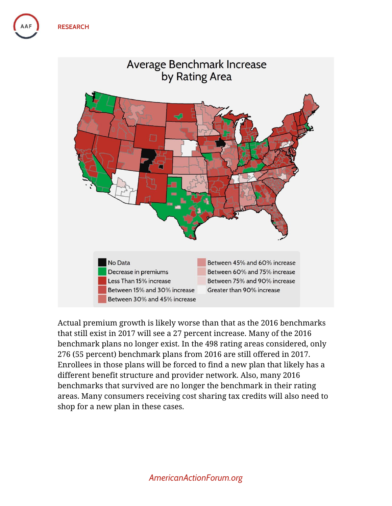

Actual premium growth is likely worse than that as the 2016 benchmarks that still exist in 2017 will see a 27 percent increase. Many of the 2016 benchmark plans no longer exist. In the 498 rating areas considered, only 276 (55 percent) benchmark plans from 2016 are still offered in 2017. Enrollees in those plans will be forced to find a new plan that likely has a different benefit structure and provider network. Also, many 2016 benchmarks that survived are no longer the benchmark in their rating areas. Many consumers receiving cost sharing tax credits will also need to shop for a new plan in these cases.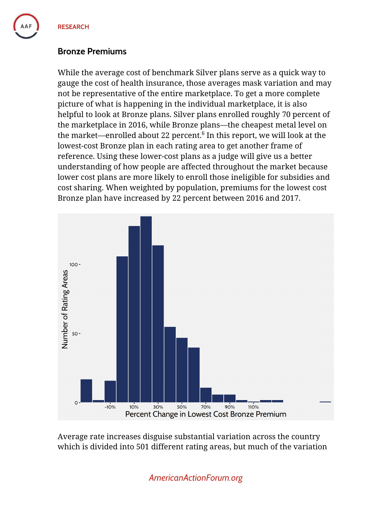#### **Bronze Premiums**

While the average cost of benchmark Silver plans serve as a quick way to gauge the cost of health insurance, those averages mask variation and may not be representative of the entire marketplace. To get a more complete picture of what is happening in the individual marketplace, it is also helpful to look at Bronze plans. Silver plans enrolled roughly 70 percent of the marketplace in 2016, while Bronze plans—the cheapest metal level on the market—enrolled about 22 percent. $\rm ^6$  In this report, we will look at the lowest-cost Bronze plan in each rating area to get another frame of reference. Using these lower-cost plans as a judge will give us a better understanding of how people are affected throughout the market because lower cost plans are more likely to enroll those ineligible for subsidies and cost sharing. When weighted by population, premiums for the lowest cost Bronze plan have increased by 22 percent between 2016 and 2017.



Average rate increases disguise substantial variation across the country which is divided into 501 different rating areas, but much of the variation

*AmericanActionForum.org*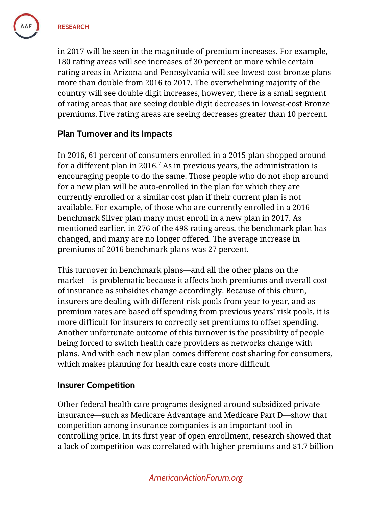**RESEARCH**

in 2017 will be seen in the magnitude of premium increases. For example, 180 rating areas will see increases of 30 percent or more while certain rating areas in Arizona and Pennsylvania will see lowest-cost bronze plans more than double from 2016 to 2017. The overwhelming majority of the country will see double digit increases, however, there is a small segment of rating areas that are seeing double digit decreases in lowest-cost Bronze premiums. Five rating areas are seeing decreases greater than 10 percent.

#### **Plan Turnover and its Impacts**

In 2016, 61 percent of consumers enrolled in a 2015 plan shopped around for a different plan in 2016. $^7$  As in previous years, the administration is encouraging people to do the same. Those people who do not shop around for a new plan will be auto-enrolled in the plan for which they are currently enrolled or a similar cost plan if their current plan is not available. For example, of those who are currently enrolled in a 2016 benchmark Silver plan many must enroll in a new plan in 2017. As mentioned earlier, in 276 of the 498 rating areas, the benchmark plan has changed, and many are no longer offered. The average increase in premiums of 2016 benchmark plans was 27 percent.

This turnover in benchmark plans—and all the other plans on the market—is problematic because it affects both premiums and overall cost of insurance as subsidies change accordingly. Because of this churn, insurers are dealing with different risk pools from year to year, and as premium rates are based off spending from previous years' risk pools, it is more difficult for insurers to correctly set premiums to offset spending. Another unfortunate outcome of this turnover is the possibility of people being forced to switch health care providers as networks change with plans. And with each new plan comes different cost sharing for consumers, which makes planning for health care costs more difficult.

#### **Insurer Competition**

Other federal health care programs designed around subsidized private insurance—such as Medicare Advantage and Medicare Part D—show that competition among insurance companies is an important tool in controlling price. In its first year of open enrollment, research showed that a lack of competition was correlated with higher premiums and \$1.7 billion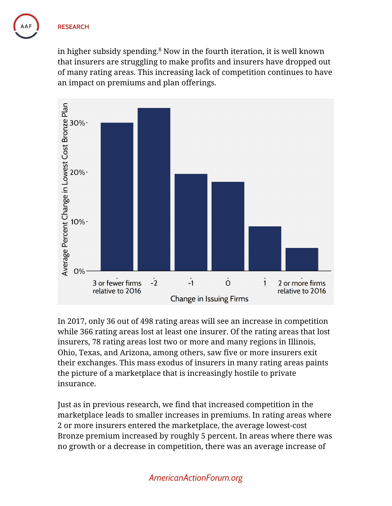in higher subsidy spending.<sup>8</sup> Now in the fourth iteration, it is well known that insurers are struggling to make profits and insurers have dropped out of many rating areas. This increasing lack of competition continues to have an impact on premiums and plan offerings.



In 2017, only 36 out of 498 rating areas will see an increase in competition while 366 rating areas lost at least one insurer. Of the rating areas that lost insurers, 78 rating areas lost two or more and many regions in Illinois, Ohio, Texas, and Arizona, among others, saw five or more insurers exit their exchanges. This mass exodus of insurers in many rating areas paints the picture of a marketplace that is increasingly hostile to private insurance.

Just as in previous research, we find that increased competition in the marketplace leads to smaller increases in premiums. In rating areas where 2 or more insurers entered the marketplace, the average lowest-cost Bronze premium increased by roughly 5 percent. In areas where there was no growth or a decrease in competition, there was an average increase of